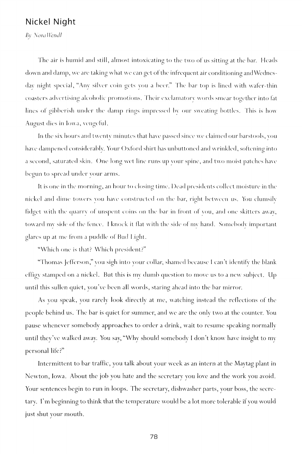## Nickel Night

*By Nora* IIem//

The air is humid and still, almost intoxicating to the two of us sitting at the bar. Heads down and damp, we are taking what we can get of the infrequent air conditioning and Wednesday night special, "Any silver coin gets vou a beer." The bar top is lined with wafer-thin coasters advertising alcoholic promotions. Their exclamatory words smear together into fat lines of gibberish under the damp rings impressed by our sweating bottles. This is how August dies in Iowa, vengeful.

In the six hours and twenty minutes that have passed since we claimed our barstools, you have dampened considerably. Your Oxford shirt has unbuttoned and wrinkled, softening into a second, saturated skin. One long wet line runs up your spine, and two moist patches have begun to spread under your arms.

It is one in the morning, an hour to closing time. Dead presidents collect moisture in the nickel and dime towers vou have constructed on the bar, right between us. You clumsily fidget with the cjuarrv ol unspent coins on the bar in lront of vou, and one skitters awav, toward my side of the fence. I knock it flat with the side of mv hand. Somebody important glares up at me from a puddle of Hud Light.

"Which one is that? Which president?"

"Thomas Jefferson," you sigh into your collar, shamed because I can't identify the blank effigy stamped on a nickel. But this is my dumb question to move us to a new subject. Up until this sullen quiet, you've been all words, staring ahead into the bar mirror.

As you speak, you rarely look directly at me, watching instead the reflections of the people behind us. The bar is quiet for summer, and we are the only two at the counter. You pause whenever somebody approaches to order a drink, wait to resume speaking normally until they've walked awav. You sav, "Why should somebody I don't know have insight to mv personal life?"

Intermittent to bar traffic, you talk about your week as an intern at the Maytag plant in Newton, Iowa. About the job you hate and the secretary you love and the work you avoid. Your sentences begin to run in loops. The secretary, dishwasher parts, your boss, the secretary. I'm beginning to think that the temperature would be a lot more tolerable if you would just shut your mouth.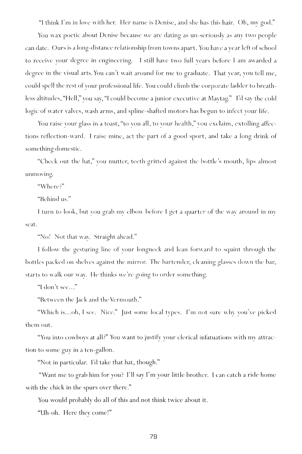"I think I'm in love with her. Her name is Denise, and she has this hair. Oh, my god."

You wax poetic about Denise because we are dating as un-seriouslv as any two people can date. Ours is a long-distance relationship from towns apart. You have a year left of school to receive your degree in engineering. I still have two full years before I am awarded a degree in the visual arts. You can't wait around for me to graduate. That year, you tell me, could spell the rest of your professional life. You could climb the corporate ladder to breathless altitudes, "Hell," vou say, "I could become a junior executive at Maytag." I'd say the cold logic of water valves, wash arms, and spline-shafted motors has begun to infect your life.

You raise vour glass in a toast, "to vou all, to vour health," vou exclaim, extolling affections reflection-ward. I raise mine, act the part of a good sport, and take a long drink of something domestic.

"Check out the hat," you mutter, teeth gritted against the bottle's mouth, lips almost unmoving.

"Where?"

"Behind us."

I turn to look, but vou grab mv elbow before I get a quarter of the way around in mv seat.

"No! Not that wav. Straight ahead."

I follow the gesturing line of vour longneck and lean forward to squint through the bottles packed on shelves against the mirror. The bartender, cleaning glasses down the bar, starts to walk our way. He thinks we're going to order something.

"I don't see..."

"Between the Jack and the Vermouth."

"Which is...oh, I see. Nice." Just some local types. I'm not sure why you've picked them out.

"You into cowboys at all?" You want to justify your clerical infatuations with my attraction to some guy in a ten-gallon.

"Not in particular. I'd take that hat, though."

"Want me to grab him for you? I'll say I'm your little brother. I can catch a ride home with the chick in the spurs over there."

You would probably do all of this and not think twice about it.

"Uh-oh. Here they come!"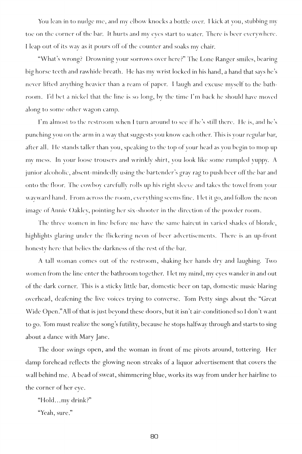You lean in to nud^e me , and mv elbow knocks a bottle over. I kick at you, stubbing my toe on the corner of the bar. It hurts and my eyes start to water. There is beer everywhere. I leap out of its way as it pours off of the counter and soaks my chair.

"What's wrong? Drowning your sorrows over here?" The Lone Ranger smiles, bearing big horse teeth and rawhide breath. He has my wrist locked in his hand, a hand that says he's never lifted anything heavier than a ream of paper. I laugh and excuse myself to the bathroom. I'd bet a nickel that the line is so long, by the time I'm back he should have moved along to some other wagon camp.

I'm almost to the restroom when I turn around to see if he's still there. He is, and he's punching you on the arm in a way that suggests you know each other. This is your regular bar, after all. He stands taller than you, speaking to the top of your head as you begin to mop up my mess. In your loose trousers and wrinkly shirt, you look like some rumpled yuppy. A junior alcoholic, absent-mindedly using the bartender's gray rag to push beer off the bar and onto the floor. The cowboy carefully rolls up his right sleeve and takes the towel from your wayward hand. From across the room, everything seems fine. Het it go, and follow the neon image of Annie Oakley, pointing her six-shooter in the direction of the powder room.

The three women in line before me have the same haircut in varied shades of blonde, highlights glaring under the flickering neon of beer advertisements. There is an up-front honesty here that belies the darkness of the rest of the bar.

A tall woman comes out of the restroom, shaking her hands dry and laughing. Two women from the line enter the bathroom together. I let mv mind, my eyes wander in and out of the dark corner. This is a sticky little bar, domestic beer on tap, domestic music blaring overhead, deafening the live voices trying to converse. Tom Petty sings about the "Great Wide Open. " All of that is just beyond these doors, but it isn't air-conditioned so I don't want to go. Tom must realize the song's futility, because he stops halfway through and starts to sing about a dance with Mary Jane.

The door swings open, and the woman in front of me pivots around, tottering. Her damp forehead reflects the glowing neon streaks of a liquor advertisement that covers the wall behind me. A bead of sweat, shimmering blue, works its way from under her hairline to the corner of her eye.

"Hold.. .my drink?"

"Yeah, sure."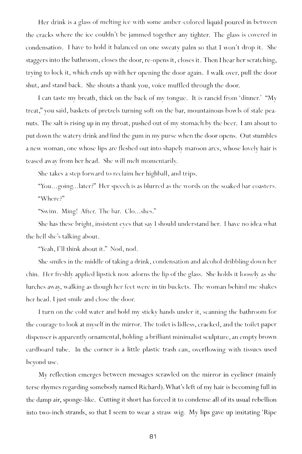Her drink is a glass of melting ice with some amber-colored liquid poured in between the cracks where the ice couldn't be jammed together any tighter. The glass is covered in condensation. I have to hold it balanced on one sweaty palm so that I won't drop it. She staggers into the bathroom, closes the door, re-opens it, closes it. Then I hear her scratching, trying to lock it, which ends up with her opening the door again. I walk over, pull the door shut, and stand back. She shouts a thank you, voice muffled through the door.

I can taste my breath, thick on the back of my tongue . It is rancid from 'dinner.' "My treat," you said, baskets of pretzels turning soft on the bar, mountainous bowls of stale peanuts. The salt is rising up in my throat, pushed out of my stomach by the beer. I am about to put down the watery drink and find the gum in my purse when the door opens. Out stumbles a new woman, one whose lips are fleshed out into shapely maroon arcs, whose lovely hair is teased awav from her head. She will melt momentarily.

She takes a step forward to reclaim her highball, and trips.

"You...going...later?" Her speech is as blurred as the words on the soaked bar coasters. "Where?"

"Swim. Ming! After. The bar. Clo...shes."

She has these bright, insistent eves that sav I should understand her. I have no idea what the hell she's talking about.

"Yeah, I'll think about it." Nod, nod.

She smiles in the middle of taking a drink, condensation and alcohol dribbling down her chin. Her freshly applied lipstick now adorns the lip of the glass. She holds it loosely as she lurches away, walking as though her leet were in tin buckets. The woman behind me shakes her head. I just smile and close the door.

I turn on the cold water and hold my sticky hands under it, scanning the bathroom for the courage to look at myself in the mirror. The toilet is lidless, cracked, and the toilet paper dispenser is apparently ornamental, holding a brilliant minimalist sculpture, an empty brown cardboard tube. In the corner is a little plastic trash can, overflowing with tissues used beyond use.

My reflection emerges between messages scrawled on the mirror in eyeliner (mainly terse rhymes regarding somebody named Richard). What's left of my hair is becoming full in the damp air, sponge-like. Cutting it short has forced it to condense all of its usual rebellion into two-inch strands, so that I seem to wear a straw wig. My lips gave up imitating 'Ripe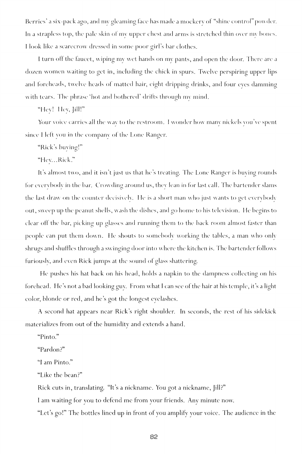Berries' a six-pack ago, and mv gleaming face has made a mockerv of "shine control" powder. In a strapless top, the pale skin of my upper chest and arms is stretched thin over my bones. I look like a scarecrow dressed in some poor girl's bar clothes.

I turn off the faucet, wiping mv wet hands on my pants, and open the door. There are a dozen women waiting to get in, including the chick in spurs. Twelve perspiring upper lips and foreheads, twelve heads of matted hair, eight dripping drinks, and four eves damming with tears. The phrase 'hot and bothered' drifts through mv mind.

"Hey! Hey, Jill!"

Your voice carries all the way to the restroom. I wonder how many nickels you've spent since I left you in the company of the Lone Ranger.

"Rick's buying!"

"Hey... Rick."

It's almost two, and it isn't just us that he's treating. The Lone Ranger is buying rounds tor everybody in the bar. Crowding around us, they lean in for last call. The bartender slams the last draw on the counter decisively. I le is a short man who just wants to get everybody out, sweep up the peanut shells, wash the dishes, and go home to his television. He begins to clear off the bar, picking up glasses and running them to the back room almost faster than people can put them down. He shouts to somebody working the tables, a man who only shrugs and shuffles through a swinging door into where the kitchen is. The bartender follows furiously, and even Rick jumps at the sound of glass shattering.

He pushes his hat back on his head, holds a napkin to the dampness collecting on his forehead. He's not a bad looking guv. From what I can see of the hair at his temple, it's a light color, blonde or red, and he's got the longest eyelashes.

A second hat appears near Rick's right shoulder. In seconds, the rest of his sidekick materializes from out of the humidity and extends a hand.

"Pinto."

"Pardon?"

"I am Pinto."

"Like the bean?"

Rick cuts in, translating. "It's a nickname. You got a nickname, [ill?"

I am waiting for you to defend me from your friends. Any minute now.

"Let's go!" The bottles lined up in front of you amplify your voice. The audience in the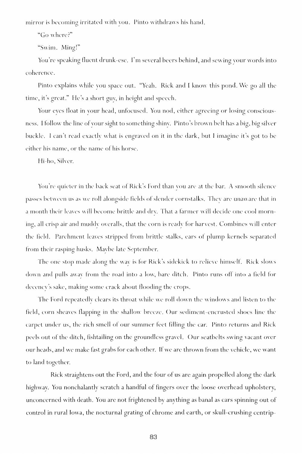mirror is becoming irritated with you. Pinto withdraws his hand.

"Go where?"

"Swim. Ming!"

You're speaking fluent drunk-ese. I'm several beers behind, and sewing your words into coherence.

Pinto explains while you space out. "Yeah. Rick and I know this pond. We go all the time, it's great." He's a short guv, in height and speech.

Your eves float in vour head, unfocused. You nod, either agreeing or losing consciousness. I follow the line of vour sight to something shinv. Pinto's brown belt has a big, big silver buckle. I can't read exactly what is engraved on it in the dark, but I imagine it's got to be either his name, or the name of his horse.

Hi-ho, Silver.

You're quieter in the back seat of Rick's Ford than YOU are at the bar. A smooth silence passes between us as we roll alongside fields of slender cornstalks. They are unaware that in a month their leaves will become brittle and drv. That a farmer will decide one cool morning, all crisp air and muddy overalls, that the corn is ready for harvest. Combines will enter the field. Parchment leaves stripped from brittle stalks, ears of plump kernels separated from their rasping husks. Mavbe late September.

The one stop made along the way is for Rick's sidekick to relieve himself. Rick slows down and pulls awav from the road into a low, bare ditch. Pinto runs off into a field for decency's sake, making some crack about flooding the crops.

The Ford repeatedly clears its throat while we roll down the windows and listen to the field, corn sheaves flapping in the shallow breeze. Our sediment-encrusted shoes line the carpet under us, the rich smell of our summer feet filling the car. Pinto returns and Rick peels out of the ditch, fishtailing on the groundless gravel. Our seatbelts swing vacant over our heads, and we make fast grabs for each other. If we are thrown from the vehicle, we want to land together.

Rick straightens out the Ford, and the four of us are again propelled along the dark highway. You nonchalantly scratch a handful of fingers over the loose overhead upholstery, unconcerned with death. You are not frightened by anything as banal as cars spinning out of control in rural Iowa, the nocturnal grating of chrome and earth, or skull-crushing centrip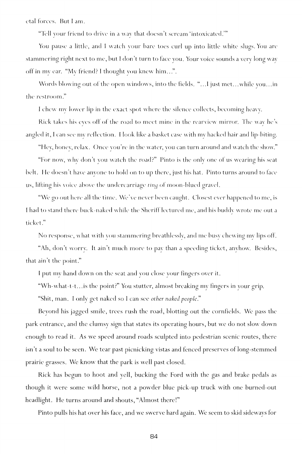etal forces. But I am.

"Tell your lriend to drive in a way that doesn't scream 'intoxicated.'"

You pause a little, and I watch your bare toes curl up into little white slugs. You are stammering right next to me , but I don't turn to face you. Your voice sounds a very long way off in my ear. "My friend? I thought you knew him...".

Words blowing out of the open windows, into the fields. "...I just met...while you...in the restroom."

I chew my lower lip in the exact spot where the silence collects, becoming heavy.

Rick takes his eyes off of the road to meet mine in the rearview mirror. The way he's angled it, I can see mv reflection. I look like a basket case with my hacked hair and lip-biting.

"Hey, honey, relax. Once you're in the water, you can turn around and watch the show."

"For now, why don't you watch the road?" Pinto is the only one of us wearing his seat belt. He doesn't have anyone to hold on to up there, just his hat. Pinto turns around to face us, lifting his voice above the undercarriage *tiny* of moon-blued gravel.

"We go out here all the time. We've never been caught. Closest ever happened to me, is I had to stand there buck-naked while the Sheriff lectured me, and his buddy wrote me out a ticket."

No response, what with vou stammering breathlessly, and me busy chewing my lips off.

"Ah, don't worry. It ain't much mor e to pav than a speeding ticket, anyhow. Besides, that ain't the point."

I put my hand down on the seat and you close your fingers over it.

"Wh-what-t-t...is the point?" You stutter, almost breaking my fingers in your grip.

"Shit, man. I only get naked so I can see *other naked people.*"

Beyond his jagged smile, trees rush the road, blotting out the cornfields. We pass the park entrance, and the clumsy sign that states its operating hours, but we do not slow down enough to read it. As we speed around roads sculpted into pedestrian scenic routes, there isn't a soul to be seen. We tear past picnicking vistas and fenced preserves of long-stemmed prairie grasses. We know that the park is well past closed.

Rick has begun to hoot and yell, bucking the Ford with the gas and brake pedals as though it were some wild horse, not a powder blue pick-up truck with one burned-out headlight. He turns around and shouts, "Almost there!"

Pinto pulls his hat over his face, and we swerve hard again. We seem to skid sideways for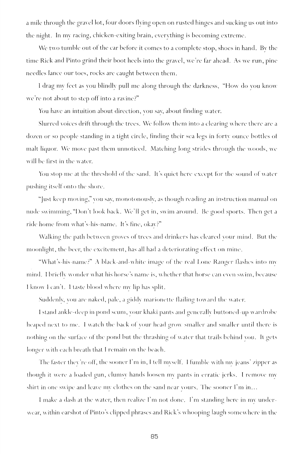a mile through the gravel lot, four doors flying open on rusted hinges and sucking us out into the night. In mv racing, chicken-exiting brain, everything is becoming; extreme .

We two tumble out of the car before it comes to a complete stop, shoes in hand. By the time Rick and Pinto grind their boot heels into the gravel, we're far ahead. As we run, pine needles lance our toes, rocks are caught between them.

I drag my teet as vou blindly pull me along through the darkness, "How do you know we're not about to step off into a ravine?"

You have an intuition about direction, vou sav, about finding water.

Slurred voices drift through the trees. We follow them into a clearing where there are a dozen or so people standing in a tight circle, finding their sea legs in forty ounce bottles of malt liquor. We move past them unnoticed. Matching long strides through the woods, we will be first in the water.

You stop me at the threshold of the sand. It's quiet here except for the sound of water pushing itself onto the shore.

"Just keep moving," you sav, monotonously, as though reading an instruction manual on nude swimming, "Don't look back. We'll get in, swim around. Be good sports. Then get a ride home from what's-his-name. It's fine, okav?"

Walking the path between groves of trees and drinkers has cleared your mind. But the moonlight, the beer, the excitement, has all had a deteriorating elfect on mine.

"What's-his-name?" A black-and-white image of the real Lone Ranger Hashes into mv mind. I briefly wonder what his horse's name is, whether that horse can even swim, because I know I can't. I taste blood where my lip has split.

Suddenly, vou are naked, pale, a giddv marionette Hailing toward the water.

I stand ankle-deep in pond scum, your khaki pants and generally buttoned-up wardrobe heaped next to me. I watch the back ol your head grow smaller and smaller until there is nothing on the surface of the pond but the thrashing of water that trails behind vou. It gets longer with each breath that I remain on the beach.

The faster they're off, the sooner I'm in, I tell myself. I fumble with mv jeans' zipper as though it were a loaded gun, clumsy hands loosen mv pants in erratic jerks. I remove mv shirt in one swipe and leave my clothes on the sand near vours. The sooner I'm in...

I make a dash at the water, then realize I'm not done. I'm standing here in mv underwear, within earshot of Pinto's clipped phrases and Rick's whooping laugh somewhere in the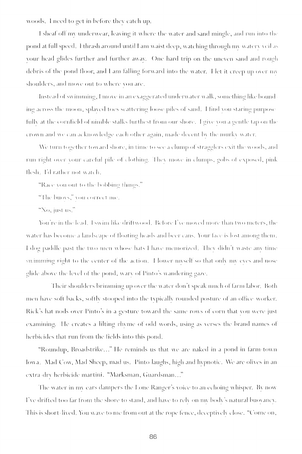woods. I need to get in before they catch up.

I sheaf off my underwear, leaving it where the water and sand mingle, and run into the pond at full speed. I thrash around until I am waist deep, watching through my watery yeil as vour head glides further and further awav. One hard trip on the uneven sand and rough debris of the pond floor, and I am falling forward into the water. Het it creep up over my shoulders, and move out to where von are.

Instead of swimming, I move in an exaggerated underwater walk, something like bounding across the moon, splaved toes scattering loose piles of sand. I find you staring purpose fully at the cornfield of nimble stalks furthest from our shore. I give vou a gentle tap on the crown and we can acknowledge each other again, made decent by the murky water.

We turn together toward shore, in time to see a clump of stragglers exit the woods, and run right over your careful pile of clothing. They move in clumps, gobs of exposed, pink llesh. I'd rather not w ateli.

"Kace von out to the bobbing things."

"The buoys," you correct me.

"No, just us."

You're in the lead. 1 swim like driftwood. Before I've moved more than two meters, the water has become a landscape of floating heads and beer cans. Your face is lost among them. I dog paddle past the two men whose hats I have memorized. They didn't waste any time swimming right to the center of the action. I lower myself so that only my eves and nose glide above the level of the pond, wary of Pinto's wandering gaze.

Their shoulders brimming up over the water don't speak much of farm labor. Both men have soil backs, soltlv stooped into the tvpicallv rounded posture of an office worker. Rick's hat nods over Pinto's in a gesture toward the same rows of corn that vou were just examining. He creates a lilting rhyme of odd words, using as verses the brand names of herbicides that run from the fields into this pond.

"Roundup, Broadstrike..." fie reminds us that we are naked in a pond in farm-town Iowa. Mad Cow, Mad Sheep, mad us. Pinto laughs, high *and* hypnotic . We are olives in *an*  extra clrv herbicide martini. "Marksman, Guardsman... "

The water in mv ears dampers the Pone Ranger's voice to *an* echoing whisper. Rv now I've drifted too *iav* from the shore to stand, *and* have to relv on mv bodv's natural buovanev. fhis is short-lived. You wave to me from out at the rope fence, deceptivelv close. "Come on,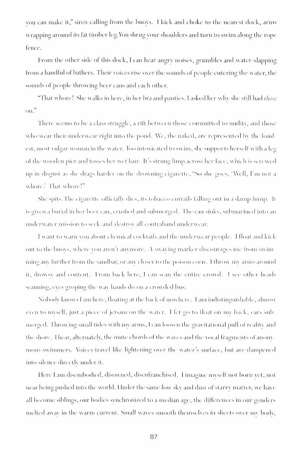YOU can make it," siren-calling from the buovs. I kick and choke to the nearest dock, arms wrapping around its fat timber leg. You shrug your shoulders and turn to swim along the rope lence.

From the other side of this dock, I can hear angry noises, grumbles and water-slapping from a handful of bathers. Their voices rise over the sounds of people entering the water, the sounds of people throwing beer cans and each other.

"That whore! She walks in here, in her bra and panties. I asked her w h\ she still had *those*  on."

There seems to be a class struggle, a rilt between those committed to nuditv, and those who wear their underwear right into the pond. We, the naked, are represented by the loud est, most vulgar woman in the water. Too intoxicated to swim, she supports herself with a leg of the wooden pier and tosses her wet hair. It's strung limp across her face, which is screwed up in disgust as she drags harder on the drowning cigarette, "So she goes, 'Well, I'm not a whore / That whore!"

She spits. The cigarette officially dies, its tobacco entrails falling out in a damp lump. It is given a burial in her beer can, crushed and submerged. 1 he can sinks, submarined into an underwater mission to seek-and-destroy all contraband underwear.

I want to warn YOU about chemical cocktails *,\\M\* the underwear people. I float and kick out to the buoys, where you aren't anymore. A swaving marker discourages me from swim ming any further from the sandbar, or any closer to the poison corn. I throw my arms around it, drowsy and content. From back here, I can scan the entire crowd. I see other heads scanning, eves groping the wav hands do on a crowded bus.

Nobodv knows I am here, floating at the back ol now here. I am indistinguishable, almost even to myself, just a piece of jetsam on the water. I let go to float on my back, ears submerged. Throwing small tides with my arms, I can loosen the gravitational pull of reality and the shore. Thear, alternately, the mute chords of the waves and the vocal fragments of anonymous swimmers. Voices travel like lightening over the water's surface, but are dampened into silence dircctlv under it.

Here I am disembodied, disowned, disenfranchised. I imagine nnsell not born vet, not near being pushed into the world. Under the same low skv and dust of starry matter, we have all become siblings, our bodies sYnchronized to a median age, the dillerences in our genders melted awav in the warm current. Small waves smooth themselves in sheets over mv bock,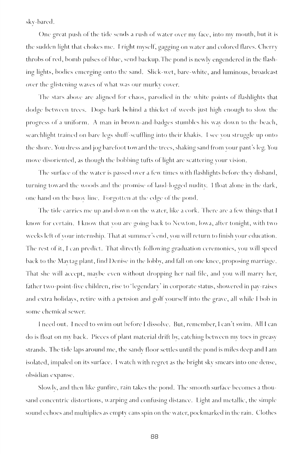skv-bared.

One great push of the tide sends a rush of water over my face, into my mouth, but it is the sudden light that chokes me. I right myself, gagging on water and colored flares. Cherry throbs of red, bomb pulses of blue, send backup. The pond is newly engendered in the flashing lights, bodies emerging onto the sand. Slick-wet, bare-white, and luminous, broadcast over the glistening waves of what was our murky cover.

The stars above are aligned for chaos, parodied in the white points of flashlights that dodge between trees. Dogs bark behind a thicket of weeds just high enough to slow the progress ol a uniform. A man in brow n-and-badges stumbles his wav down to the beach, searchlight trained on bare legs shuff-scuffling into their khakis. I see vou struggle up onto the shore. You dress and jog barefoot toward the trees, shaking sand from your pant's leg. You move disoriented, as though the bobbing tufts of light are scattering vour vision.

The surface of the water is passed over a few times with flashlights before they disband, turning toward the woods and the promise of land-logged nudity. I float alone in the dark, one hand on the buoy line. Forgotten at the edge of the pond.

The tide carries me up and down on the water, like a cork. There are a few things that I know for certain. 1 know that vou are going back to Newton, Iowa, alter tonight, with two weeks lelt of vour internship. That at summer's end, vou will return to finish vour education. The rest of it, I can predict. That directly following graduation ceremonies, you will speed back to the Mavtag plant, find Denise in the lobby, and fall on one knee, proposing marriage. That she will accept, mavbe even without dropping her nail file, and you will marry her, father two-point-five children, rise to 'legendary' in corporate status, showered in pay-raises and extra holidays, retire with a pension and golf yourself into the grave, all while I bob in some chemical sewer.

I need out. I need to swim out before I dissolve. But, remember, I can't swim. All I can do is float on my back. Pieces of plant material drift by, catching between mv toes in greasy strands. The tide laps around me , the sandy floor settles until the pond is miles deep and I am isolated, impaled on its surface. I watch with regret as the bright skv smears into one dense, obsidian expanse.

Slowlv, and then like gunfire, rain takes the pond. The smooth surface becomes a thousand concentric distortions, warping and confusing distance. Light and metallic, the simple sound echoes and multiplies as empty cans spin on the water, pockmarked in the rain. Clothes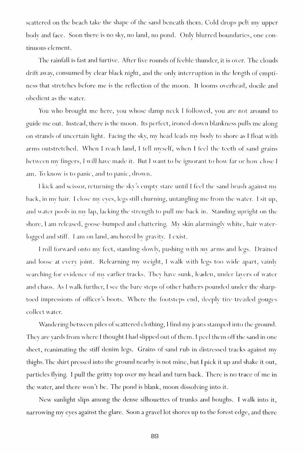scattered on the beach take the shape of the sand beneath them. Cold drops pelt my upper body and face. Soon there is no skv, no land, no pond. Only blurred boundaries, one continuous element.

The rainfall is fast and furtive. After five rounds of feeble thunder, it is over. The clouds drift away, consumed by clear black night, and the only interruption in the length of emptiness that stretches before me is the reflection of the moon. It looms overhead, docile and obedient as the water.

You who brought me here, you whose damp neck I followed, you are not around to ^uide me out. Instead, there is the moon. Its perfect, ironed-down blankness pulls me along; on strands of uncertain light. Facing the sky, my head leads my body to shore as I float with arms outstretched. When I reach land, I tell myself, when I feel the teeth of sand grains between my fingers, I will have made it. But I want to be ignorant to how far or how close I am. To know is to panic, and to panic, drown.

I kick and scissor, returning the skv's emptv stare until I feel the sand brush against mv back, in mv hair. I close mv eves, legs still churning, untangling me from the water. I sit up, and water pools in mv lap, lacking the strength to pull me back in. Standing upright on the shore, I am released, goose-bumped and chattering. Mv skin alarmingly white, hair waterlogged and stiff. I am on land, anchored bv gravity. I exist.

I roll forward onto my feet, standing slowly, pushing with my arms and legs. Drained and loose at every joint. Relearning mv weight, I walk with legs too wide apart, vainlv searching for evidence of my earlier tracks. They have sunk, leaden, under lavers of water and chaos. As I walk further, I see the bare steps of other bathers pounded under the sharptoed impressions of officer's boots. Where the footsteps end, deeply tire-treaded gouges collect water.

Wandering between piles of scattered clothing, I find my jeans stamped into the ground. They are yards from where I thought I had slipped out of them. I peel them off the sand in one sheet, reanimating the stiff denim legs. Grains of sand rub in distressed tracks against my thighs.The shirt pressed into the ground nearby is not mine, but I pick it up and shake it out, particles flying. I pull the gritty top over my head and turn back. There is no trace of me in the water, and there won't be. The pond is blank, moon dissolving into it.

New sunlight slips among the dense silhouettes of trunks and boughs. I walk into it, narrowing my eyes against the glare. Soon a gravel lot shores up to the forest edge, and there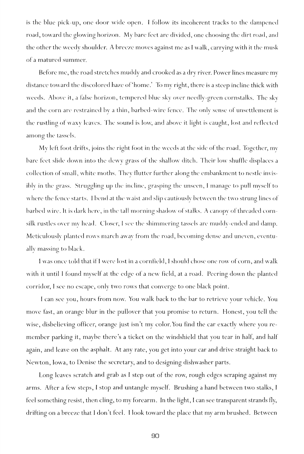is the blue pick-up, one door wide open. I follow its incoherent tracks to the dampened road, toward the glowing horizon. My bare feet are divided, one choosing the dirt road, and the other the weedy shoulder. A breeze moves against me as I walk, carrying with it the musk of a matured summer.

Before me , the road stretches muddy and crooked as a dry river. Power lines measure my distance toward the discolored haze of'home.' To my right, there is a steep incline thick with weeds. Above it, a false horizon, tempered blue sky over needly-green cornstalks. The sky and the corn are restrained by a thin, barbed-wire fence. The only sense of unsettlement is the rustling of waxy leaves. The sound is low, and above it light is caught, lost and reflected among the tassels.

Mv left foot drifts, joins the right foot in the weeds at the side of the road. Together, my bare feet slide down into the dewy grass of the shallow ditch. Their low shuffle displaces a collection of small, white moths. They Butter further along the embankment to nestle invisibly in the grass. Struggling up the incline, grasping the unseen, I manage to pull mvself to where the fence starts. I bend at the waist and slip cautiously between the two strung lines of barbed wire. It is dark here, in the tall morning shadow of stalks. A canopy of threaded cornsilk rustles over mv head. Closer, I see the shimmering tassels are muddv-ended and damp. Meticulously planted rows march away from the road, becoming dense and uneven, eventually massing to black.

I was once told that if I were lost in a cornfield, I should chose one row of corn, and walk with it until I found myself at the edge of a new field, at a road. Peering down the planted corridor, I see no escape, only two rows that converge to one black point.

I can see you, hours from now. You walk back to the bar to retrieve your vehicle. You move fast, an orange blur in the pullover that you promise to return. Honest, you tell the wise, disbelieving officer, orange just isn't my color. You find the car exactly where you remember parking it, maybe there's a ticket on the windshield that you tear in half, and half again, and leave on the asphalt. At any rate, you get into your car and drive straight back to Newton, Iowa, to Denise the secretary, and to designing dishwasher parts.

Long leaves scratch and grab as I step out of the row, rough edges scraping against my arms. After a few steps, I stop and untangle myself. Brushing a hand between two stalks, I feel something resist, then cling, to my forearm. In the light, I can see transparent strands fly, drifting on a breeze that I don't feel. I look toward the place that my arm brushed. Between